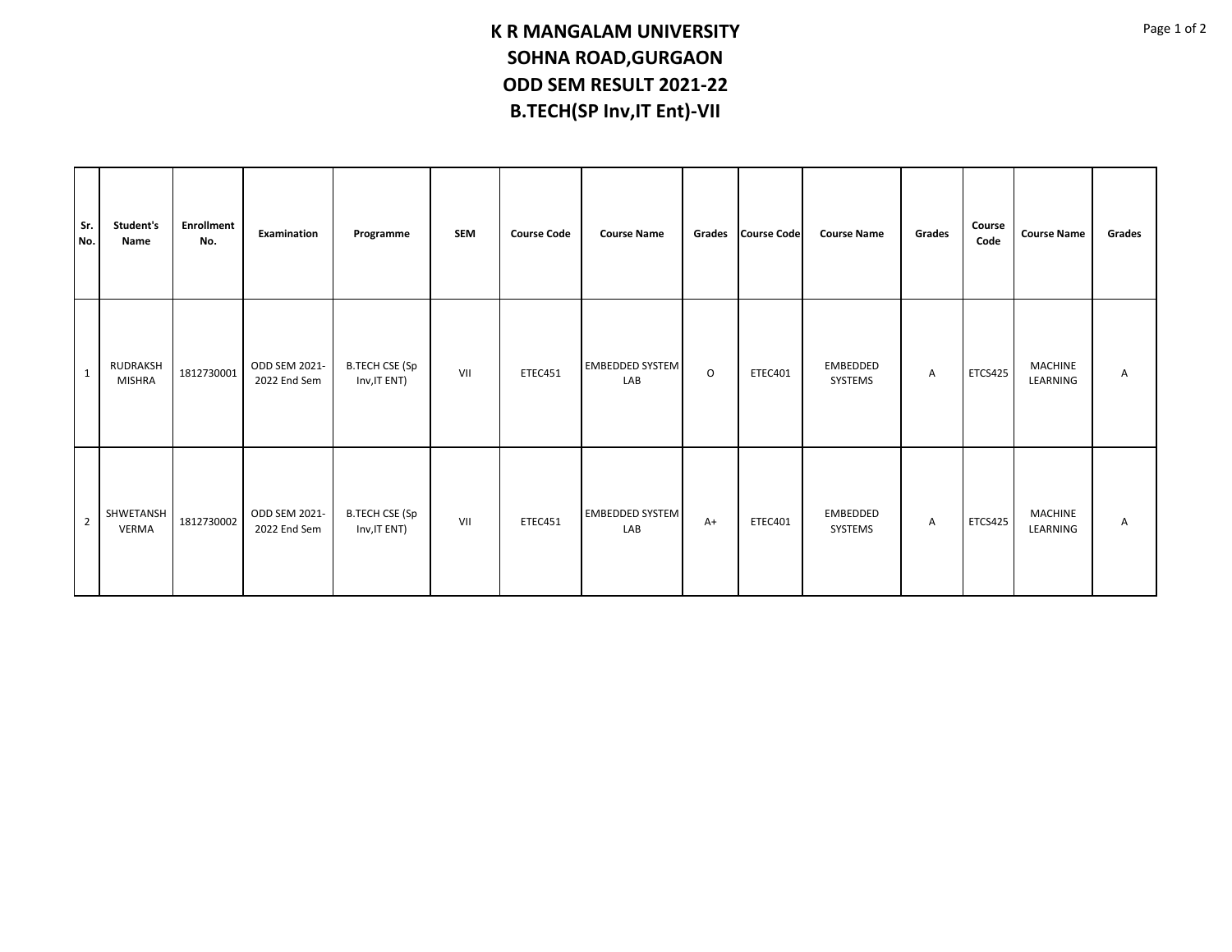## **K R MANGALAM UNIVERSITY SOHNA ROAD,GURGAON ODD SEM RESULT 2021-22 B.TECH(SP Inv,IT Ent)-VII**

| Sr.<br>No.     | Student's<br>Name                | <b>Enrollment</b><br>No. | Examination                   | Programme                             | <b>SEM</b> | <b>Course Code</b> | <b>Course Name</b>            |         | Grades Course Code | <b>Course Name</b>  | Grades       | Course<br>Code | <b>Course Name</b>         | Grades |
|----------------|----------------------------------|--------------------------|-------------------------------|---------------------------------------|------------|--------------------|-------------------------------|---------|--------------------|---------------------|--------------|----------------|----------------------------|--------|
| $\overline{1}$ | <b>RUDRAKSH</b><br><b>MISHRA</b> | 1812730001               | ODD SEM 2021-<br>2022 End Sem | <b>B.TECH CSE (Sp</b><br>Inv, IT ENT) | VII        | ETEC451            | <b>EMBEDDED SYSTEM</b><br>LAB | $\circ$ | ETEC401            | EMBEDDED<br>SYSTEMS | A            | <b>ETCS425</b> | <b>MACHINE</b><br>LEARNING | Α      |
| $\overline{2}$ | SHWETANSH<br><b>VERMA</b>        | 1812730002               | ODD SEM 2021-<br>2022 End Sem | <b>B.TECH CSE (Sp</b><br>Inv, IT ENT) | VII        | ETEC451            | <b>EMBEDDED SYSTEM</b><br>LAB | $A+$    | ETEC401            | EMBEDDED<br>SYSTEMS | $\mathsf{A}$ | <b>ETCS425</b> | MACHINE<br>LEARNING        | Α      |